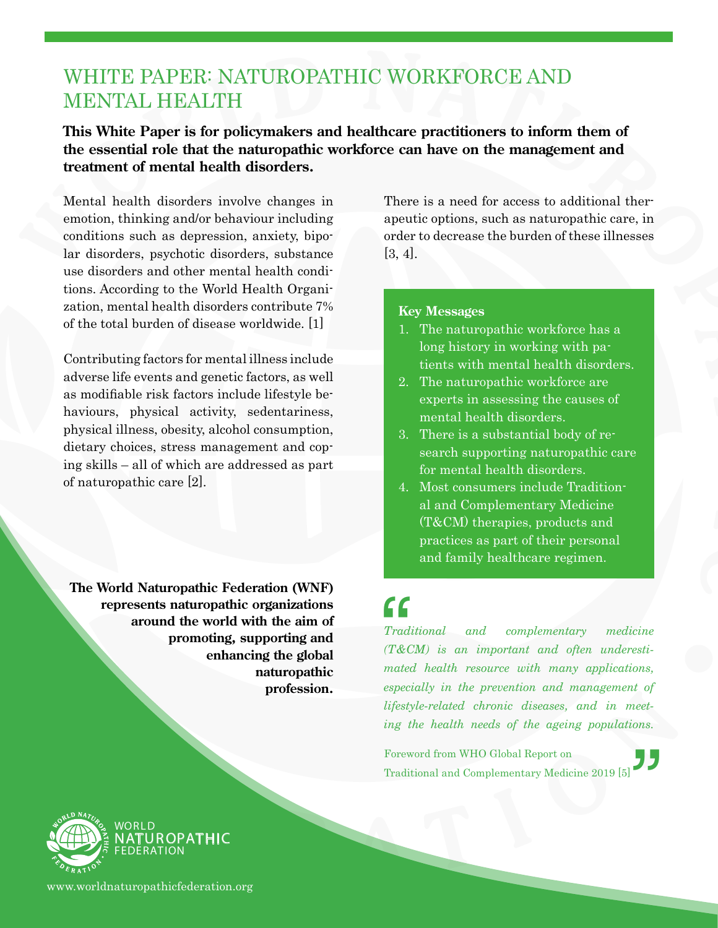### WHITE PAPER: NATUROPATHIC WORKFORCE AND MENTAL HEALTH

**This White Paper is for policymakers and healthcare practitioners to inform them of the essential role that the naturopathic workforce can have on the management and treatment of mental health disorders.**

Mental health disorders involve changes in emotion, thinking and/or behaviour including conditions such as depression, anxiety, bipolar disorders, psychotic disorders, substance use disorders and other mental health conditions. According to the World Health Organization, mental health disorders contribute 7% of the total burden of disease worldwide. [1]

Contributing factors for mental illness include adverse life events and genetic factors, as well as modifiable risk factors include lifestyle behaviours, physical activity, sedentariness, physical illness, obesity, alcohol consumption, dietary choices, stress management and coping skills – all of which are addressed as part of naturopathic care [2].

**The World Naturopathic Federation (WNF) represents naturopathic organizations around the world with the aim of promoting, supporting and enhancing the global naturopathic profession.**

There is a need for access to additional therapeutic options, such as naturopathic care, in order to decrease the burden of these illnesses [3, 4].

#### **Key Messages**

- 1. The naturopathic workforce has a long history in working with patients with mental health disorders.
- 2. The naturopathic workforce are experts in assessing the causes of mental health disorders.
- 3. There is a substantial body of research supporting naturopathic care for mental health disorders.
- 4. Most consumers include Traditional and Complementary Medicine (T&CM) therapies, products and practices as part of their personal and family healthcare regimen.

# $\bigcap_{\substack{\text{Traditional}}}$

 $\frac{^\text{neet}}{\text{ons.}}$  $and$  complementary medicine *(T&CM) is an important and often underestimated health resource with many applications, especially in the prevention and management of lifestyle-related chronic diseases, and in meeting the health needs of the ageing populations.*

Foreword from WHO Global Report on Traditional and Complementary Medicine 2019 [5]



www.worldnaturopathicfederation.org

**TUROPATHIC**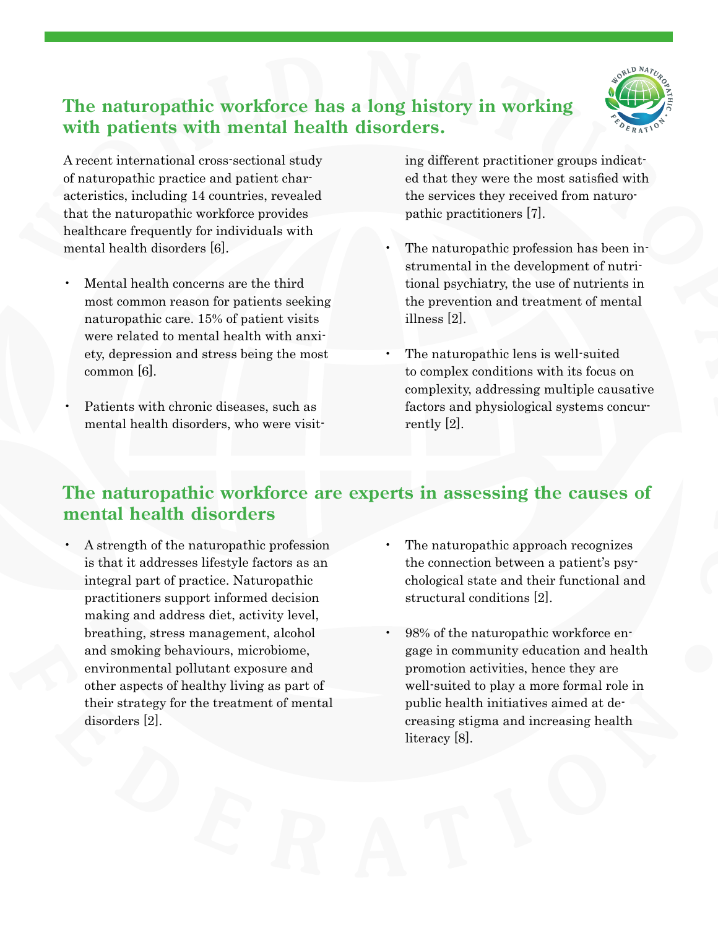

#### **The naturopathic workforce has a long history in working with patients with mental health disorders.**

A recent international cross-sectional study of naturopathic practice and patient characteristics, including 14 countries, revealed that the naturopathic workforce provides healthcare frequently for individuals with mental health disorders [6].

- Mental health concerns are the third most common reason for patients seeking naturopathic care. 15% of patient visits were related to mental health with anxiety, depression and stress being the most common [6].
- Patients with chronic diseases, such as mental health disorders, who were visit-

ing different practitioner groups indicated that they were the most satisfied with the services they received from naturopathic practitioners [7].

- The naturopathic profession has been instrumental in the development of nutritional psychiatry, the use of nutrients in the prevention and treatment of mental illness [2].
- The naturopathic lens is well-suited to complex conditions with its focus on complexity, addressing multiple causative factors and physiological systems concurrently [2].

#### **The naturopathic workforce are experts in assessing the causes of mental health disorders**

- A strength of the naturopathic profession is that it addresses lifestyle factors as an integral part of practice. Naturopathic practitioners support informed decision making and address diet, activity level, breathing, stress management, alcohol and smoking behaviours, microbiome, environmental pollutant exposure and other aspects of healthy living as part of their strategy for the treatment of mental disorders [2].
- The naturopathic approach recognizes the connection between a patient's psychological state and their functional and structural conditions [2].
- 98% of the naturopathic workforce engage in community education and health promotion activities, hence they are well-suited to play a more formal role in public health initiatives aimed at decreasing stigma and increasing health literacy [8].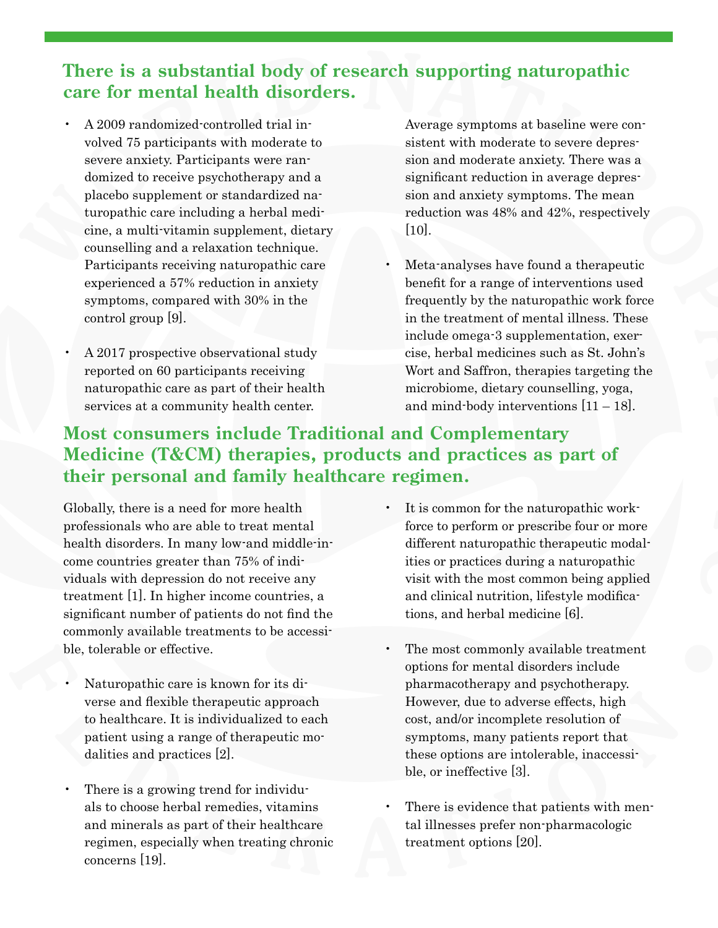#### **There is a substantial body of research supporting naturopathic care for mental health disorders.**

- A 2009 randomized-controlled trial involved 75 participants with moderate to severe anxiety. Participants were randomized to receive psychotherapy and a placebo supplement or standardized naturopathic care including a herbal medicine, a multi-vitamin supplement, dietary counselling and a relaxation technique. Participants receiving naturopathic care experienced a 57% reduction in anxiety symptoms, compared with 30% in the control group [9].
- A 2017 prospective observational study reported on 60 participants receiving naturopathic care as part of their health services at a community health center.

Average symptoms at baseline were consistent with moderate to severe depression and moderate anxiety. There was a significant reduction in average depression and anxiety symptoms. The mean reduction was 48% and 42%, respectively [10].

Meta-analyses have found a therapeutic benefit for a range of interventions used frequently by the naturopathic work force in the treatment of mental illness. These include omega-3 supplementation, exercise, herbal medicines such as St. John's Wort and Saffron, therapies targeting the microbiome, dietary counselling, yoga, and mind-body interventions  $[11 - 18]$ .

#### **Most consumers include Traditional and Complementary Medicine (T&CM) therapies, products and practices as part of their personal and family healthcare regimen.**

Globally, there is a need for more health professionals who are able to treat mental health disorders. In many low-and middle-income countries greater than 75% of individuals with depression do not receive any treatment [1]. In higher income countries, a significant number of patients do not find the commonly available treatments to be accessible, tolerable or effective.

- Naturopathic care is known for its diverse and flexible therapeutic approach to healthcare. It is individualized to each patient using a range of therapeutic modalities and practices [2].
- There is a growing trend for individuals to choose herbal remedies, vitamins and minerals as part of their healthcare regimen, especially when treating chronic concerns [19].
- It is common for the naturopathic workforce to perform or prescribe four or more different naturopathic therapeutic modalities or practices during a naturopathic visit with the most common being applied and clinical nutrition, lifestyle modifications, and herbal medicine [6].
- The most commonly available treatment options for mental disorders include pharmacotherapy and psychotherapy. However, due to adverse effects, high cost, and/or incomplete resolution of symptoms, many patients report that these options are intolerable, inaccessible, or ineffective [3].
- There is evidence that patients with mental illnesses prefer non-pharmacologic treatment options [20].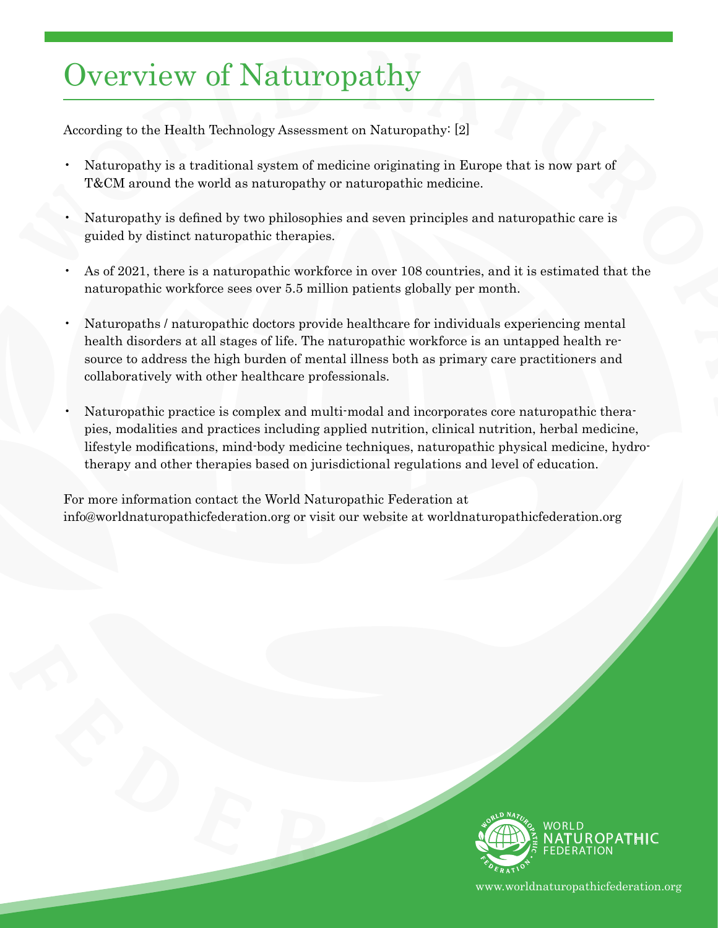### Overview of Naturopathy

According to the Health Technology Assessment on Naturopathy: [2]

- Naturopathy is a traditional system of medicine originating in Europe that is now part of T&CM around the world as naturopathy or naturopathic medicine.
- Naturopathy is defined by two philosophies and seven principles and naturopathic care is guided by distinct naturopathic therapies.
- As of 2021, there is a naturopathic workforce in over 108 countries, and it is estimated that the naturopathic workforce sees over 5.5 million patients globally per month.
- Naturopaths / naturopathic doctors provide healthcare for individuals experiencing mental health disorders at all stages of life. The naturopathic workforce is an untapped health resource to address the high burden of mental illness both as primary care practitioners and collaboratively with other healthcare professionals.
- Naturopathic practice is complex and multi-modal and incorporates core naturopathic therapies, modalities and practices including applied nutrition, clinical nutrition, herbal medicine, lifestyle modifications, mind-body medicine techniques, naturopathic physical medicine, hydrotherapy and other therapies based on jurisdictional regulations and level of education.

For more information contact the World Naturopathic Federation at info@worldnaturopathicfederation.org or visit our website at worldnaturopathicfederation.org



www.worldnaturopathicfederation.org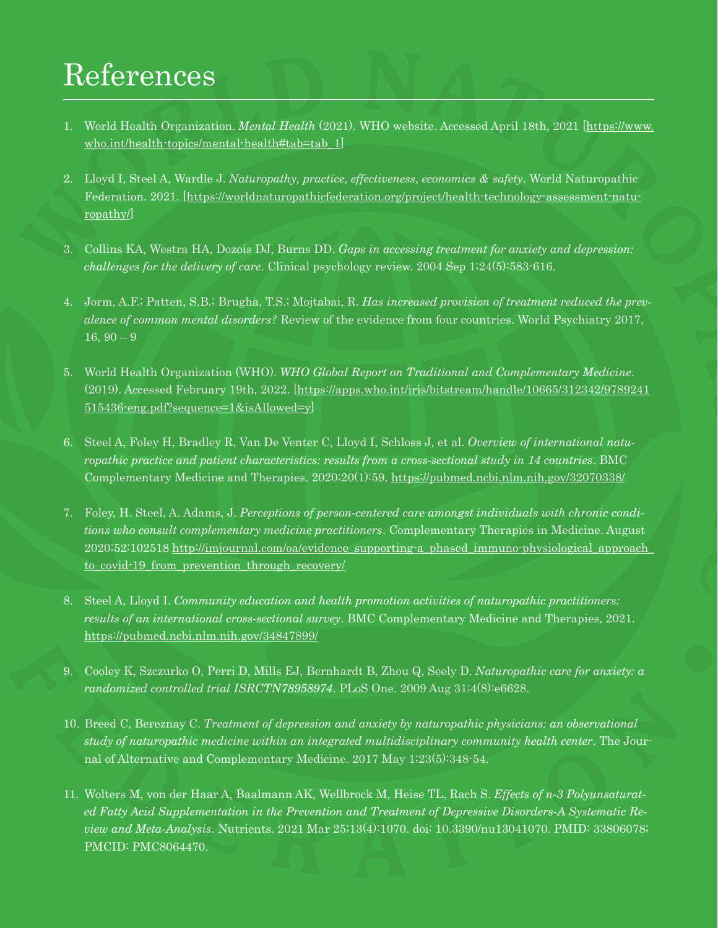## References

- 1. World Health Organization. *Mental Health* (2021). WHO website. Accessed April 18th, 2021 [\[https://www.](https://www.who.int/health-topics/mental-health#tab=tab_1) [who.int/health-topics/mental-health#tab=tab\\_1](https://www.who.int/health-topics/mental-health#tab=tab_1)]
- 2. Lloyd I, Steel A, Wardle J. *Naturopathy, practice, effectiveness, economics & safety*. World Naturopathic Federation. 2021. [\[https://worldnaturopathicfederation.org/project/health-technology-assessment-natu](https://worldnaturopathicfederation.org/project/health-technology-assessment-naturopathy/)[ropathy/\]](https://worldnaturopathicfederation.org/project/health-technology-assessment-naturopathy/)
- 3. Collins KA, Westra HA, Dozois DJ, Burns DD. *Gaps in accessing treatment for anxiety and depression: challenges for the delivery of care*. Clinical psychology review. 2004 Sep 1;24(5):583-616.
- 4. Jorm, A.F.; Patten, S.B.; Brugha, T.S.; Mojtabai, R. *Has increased provision of treatment reduced the prevalence of common mental disorders?* Review of the evidence from four countries. World Psychiatry 2017,  $16, 90 - 9$
- 5. World Health Organization (WHO). *WHO Global Report on Traditional and Complementary Medicine*. (2019). Accessed February 19th, 2022. [[https://apps.who.int/iris/bitstream/handle/10665/312342/9789241](https://apps.who.int/iris/bitstream/handle/10665/312342/9789241515436-eng.pdf?sequence=1&isAllowed=y) [515436-eng.pdf?sequence=1&isAllowed=y](https://apps.who.int/iris/bitstream/handle/10665/312342/9789241515436-eng.pdf?sequence=1&isAllowed=y)]
- 6. Steel A, Foley H, Bradley R, Van De Venter C, Lloyd I, Schloss J, et al. *Overview of international naturopathic practice and patient characteristics: results from a cross-sectional study in 14 countries*. BMC Complementary Medicine and Therapies. 2020;20(1):59. <https://pubmed.ncbi.nlm.nih.gov/32070338/>
- 7. Foley, H. Steel, A. Adams, J. *Perceptions of person-centered care amongst individuals with chronic conditions who consult complementary medicine practitioners*. Complementary Therapies in Medicine. August 2020;52:102518 [http://imjournal.com/oa/evidence\\_supporting-a\\_phased\\_immuno-physiological\\_approach\\_](http://imjournal.com/oa/evidence_supporting-a_phased_immuno-physiological_approach_ to_covid-19_from_prevention_through_recovery/) [to\\_covid-19\\_from\\_prevention\\_through\\_recovery/](http://imjournal.com/oa/evidence_supporting-a_phased_immuno-physiological_approach_ to_covid-19_from_prevention_through_recovery/)
- 8. Steel A, Lloyd I. *Community education and health promotion activities of naturopathic practitioners: results of an international cross-sectional survey*. BMC Complementary Medicine and Therapies, 2021. <https://pubmed.ncbi.nlm.nih.gov/34847899/>
- 9. Cooley K, Szczurko O, Perri D, Mills EJ, Bernhardt B, Zhou Q, Seely D. *Naturopathic care for anxiety: a randomized controlled trial ISRCTN78958974*. PLoS One. 2009 Aug 31;4(8):e6628.
- 10. Breed C, Bereznay C. *Treatment of depression and anxiety by naturopathic physicians: an observational study of naturopathic medicine within an integrated multidisciplinary community health center*. The Journal of Alternative and Complementary Medicine. 2017 May 1;23(5):348-54.
- 11. Wolters M, von der Haar A, Baalmann AK, Wellbrock M, Heise TL, Rach S. *Effects of n-3 Polyunsaturated Fatty Acid Supplementation in the Prevention and Treatment of Depressive Disorders-A Systematic Review and Meta-Analysis*. Nutrients. 2021 Mar 25;13(4):1070. doi: 10.3390/nu13041070. PMID: 33806078; PMCID: PMC8064470.